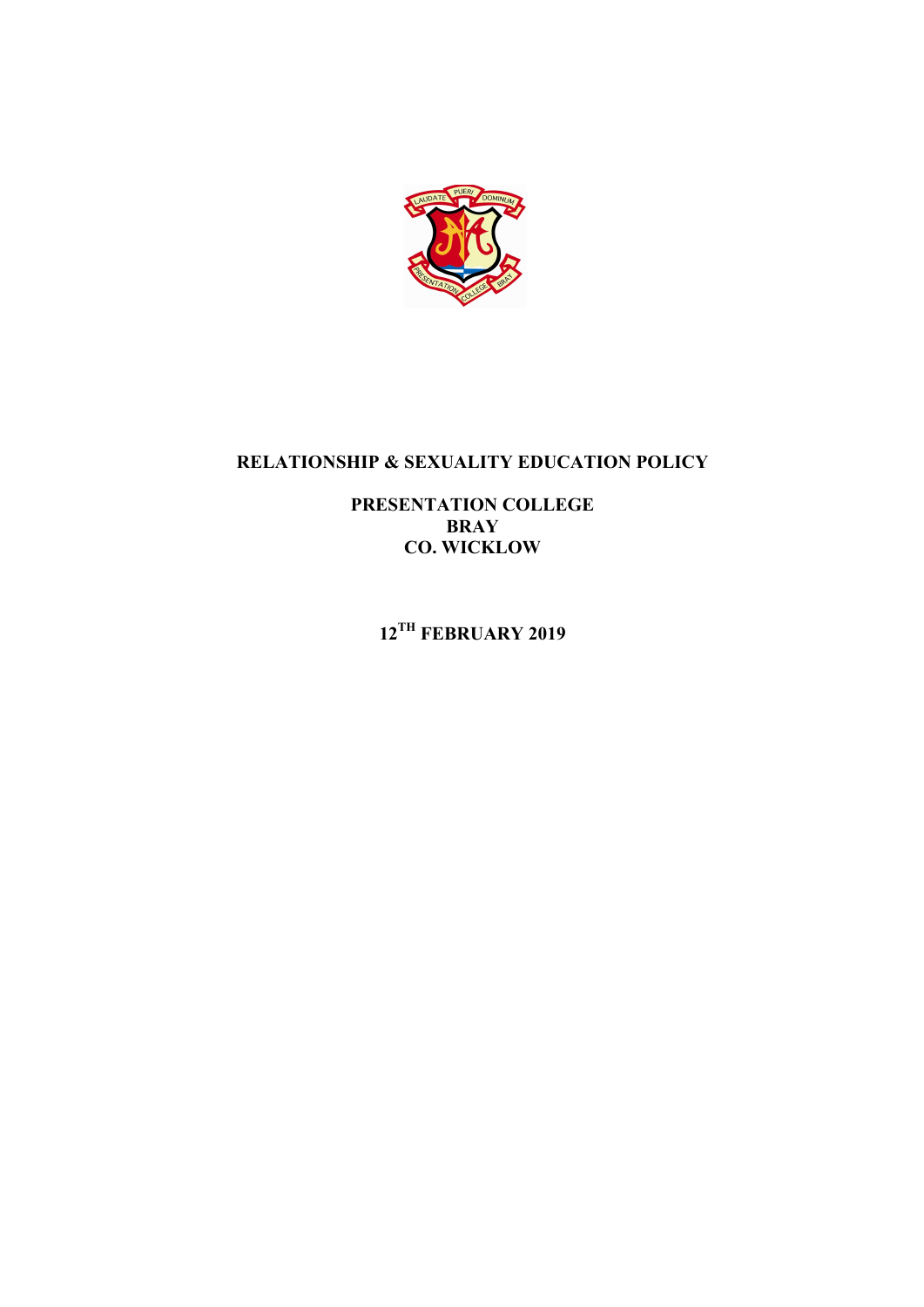

# **RELATIONSHIP & SEXUALITY EDUCATION POLICY**

**PRESENTATION COLLEGE BRAY CO. WICKLOW**

**12TH FEBRUARY 2019**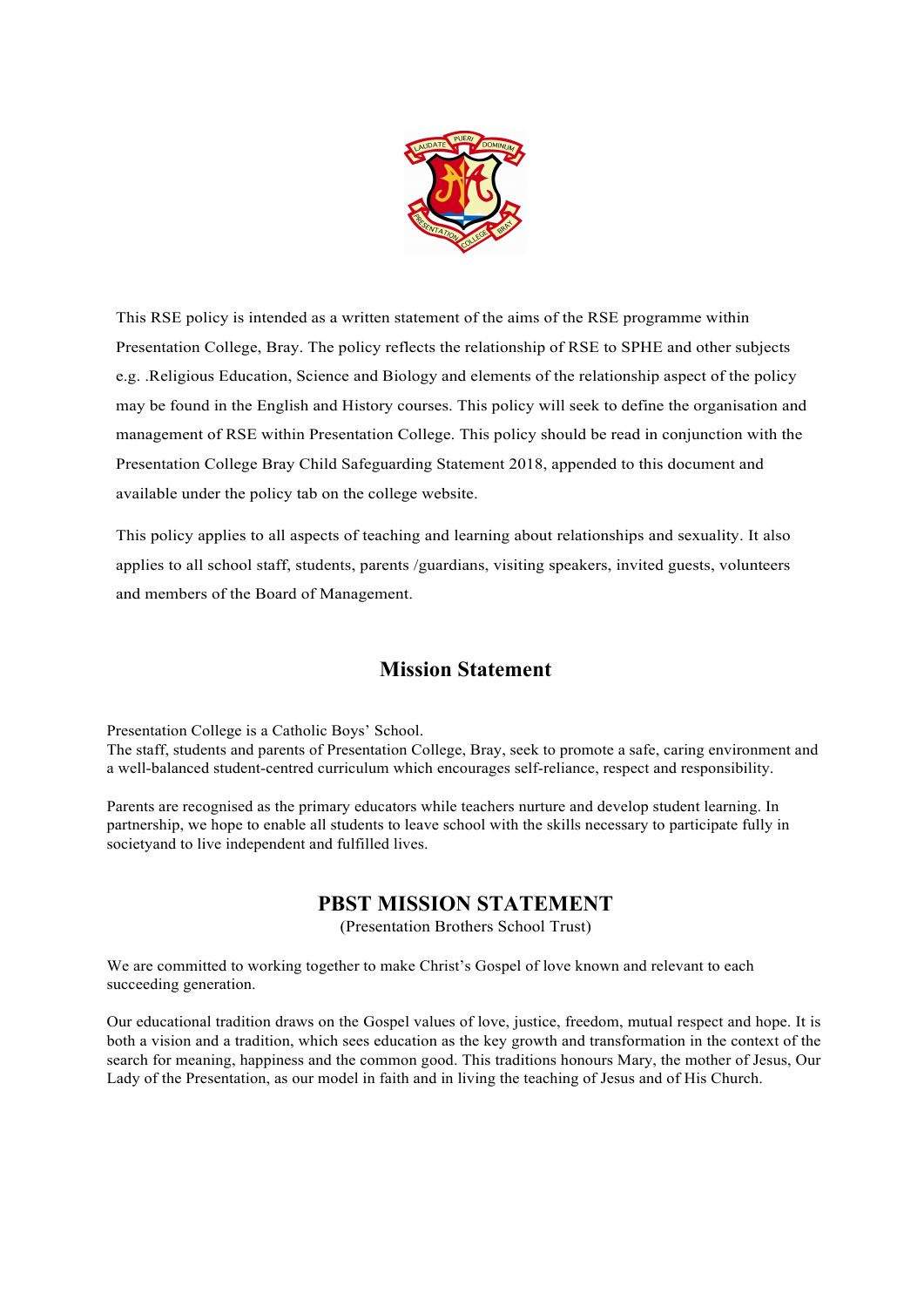

This RSE policy is intended as a written statement of the aims of the RSE programme within Presentation College, Bray. The policy reflects the relationship of RSE to SPHE and other subjects e.g. .Religious Education, Science and Biology and elements of the relationship aspect of the policy may be found in the English and History courses. This policy will seek to define the organisation and management of RSE within Presentation College. This policy should be read in conjunction with the Presentation College Bray Child Safeguarding Statement 2018, appended to this document and available under the policy tab on the college website.

This policy applies to all aspects of teaching and learning about relationships and sexuality. It also applies to all school staff, students, parents /guardians, visiting speakers, invited guests, volunteers and members of the Board of Management.

## **Mission Statement**

Presentation College is a Catholic Boys' School. The staff, students and parents of Presentation College, Bray, seek to promote a safe, caring environment and a well-balanced student-centred curriculum which encourages self-reliance, respect and responsibility.

Parents are recognised as the primary educators while teachers nurture and develop student learning. In partnership, we hope to enable all students to leave school with the skills necessary to participate fully in societyand to live independent and fulfilled lives.

## **PBST MISSION STATEMENT**

(Presentation Brothers School Trust)

We are committed to working together to make Christ's Gospel of love known and relevant to each succeeding generation.

Our educational tradition draws on the Gospel values of love, justice, freedom, mutual respect and hope. It is both a vision and a tradition, which sees education as the key growth and transformation in the context of the search for meaning, happiness and the common good. This traditions honours Mary, the mother of Jesus, Our Lady of the Presentation, as our model in faith and in living the teaching of Jesus and of His Church.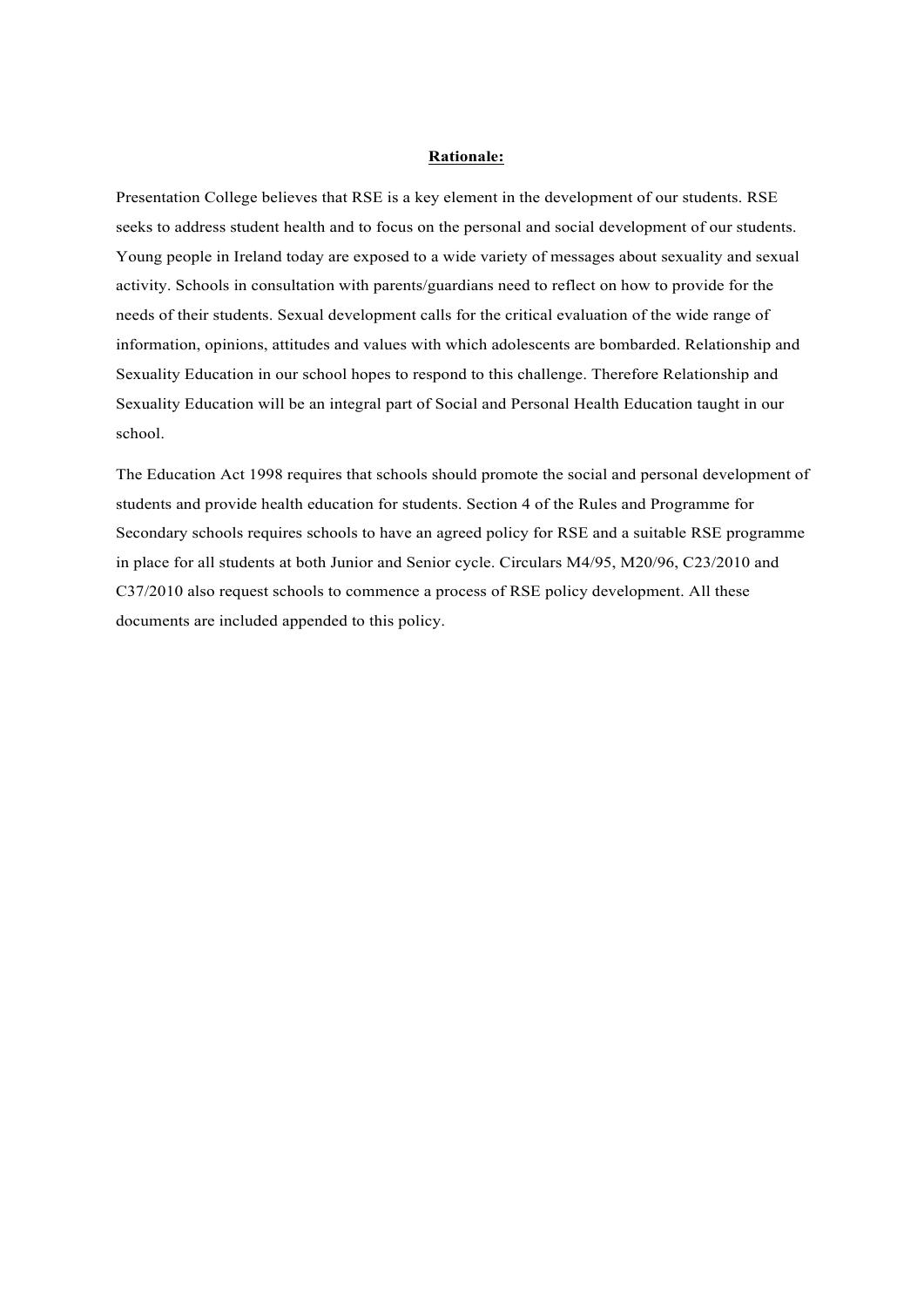#### **Rationale:**

Presentation College believes that RSE is a key element in the development of our students. RSE seeks to address student health and to focus on the personal and social development of our students. Young people in Ireland today are exposed to a wide variety of messages about sexuality and sexual activity. Schools in consultation with parents/guardians need to reflect on how to provide for the needs of their students. Sexual development calls for the critical evaluation of the wide range of information, opinions, attitudes and values with which adolescents are bombarded. Relationship and Sexuality Education in our school hopes to respond to this challenge. Therefore Relationship and Sexuality Education will be an integral part of Social and Personal Health Education taught in our school.

The Education Act 1998 requires that schools should promote the social and personal development of students and provide health education for students. Section 4 of the Rules and Programme for Secondary schools requires schools to have an agreed policy for RSE and a suitable RSE programme in place for all students at both Junior and Senior cycle. Circulars M4/95, M20/96, C23/2010 and C37/2010 also request schools to commence a process of RSE policy development. All these documents are included appended to this policy.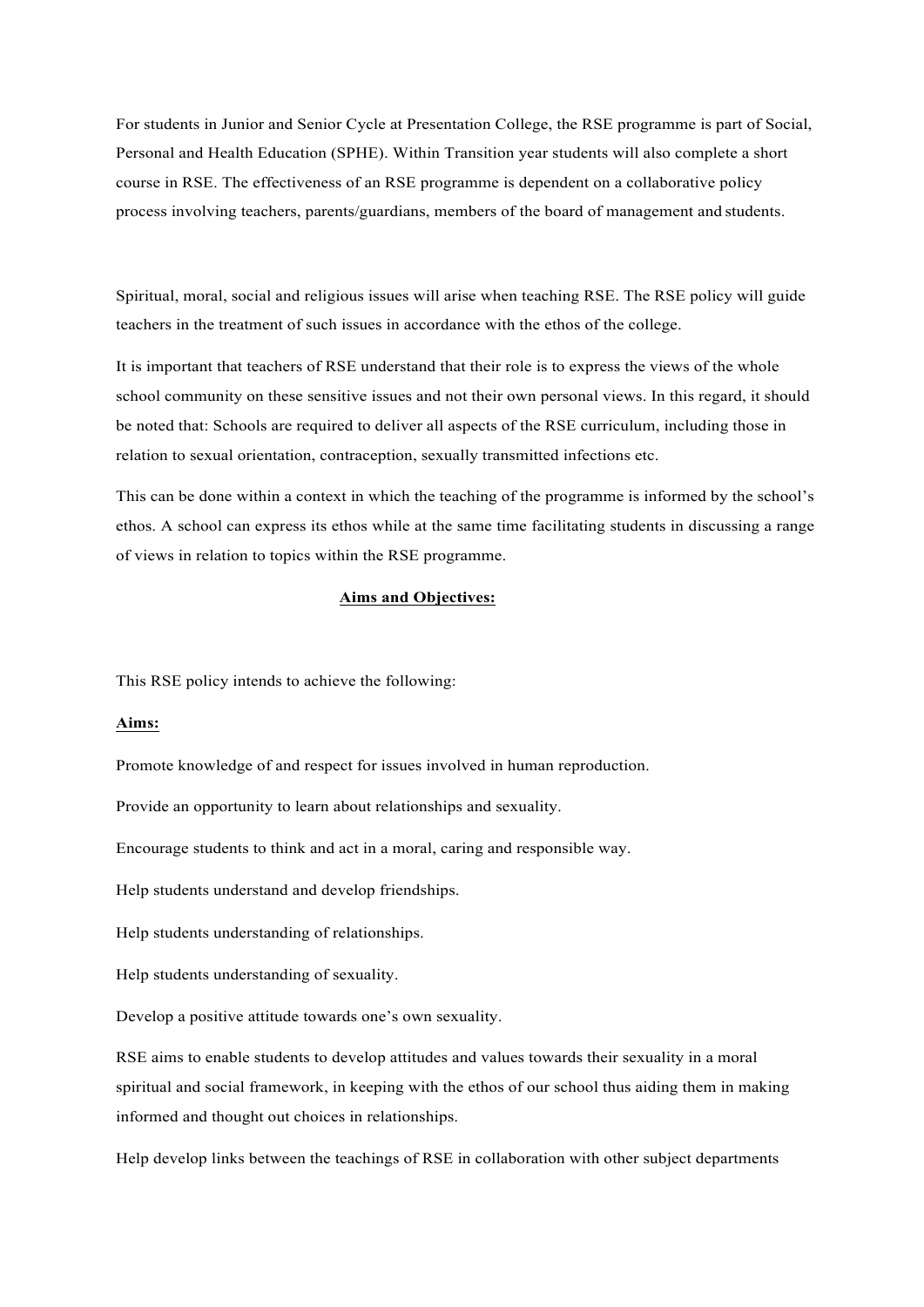For students in Junior and Senior Cycle at Presentation College, the RSE programme is part of Social, Personal and Health Education (SPHE). Within Transition year students will also complete a short course in RSE. The effectiveness of an RSE programme is dependent on a collaborative policy process involving teachers, parents/guardians, members of the board of management and students.

Spiritual, moral, social and religious issues will arise when teaching RSE. The RSE policy will guide teachers in the treatment of such issues in accordance with the ethos of the college.

It is important that teachers of RSE understand that their role is to express the views of the whole school community on these sensitive issues and not their own personal views. In this regard, it should be noted that: Schools are required to deliver all aspects of the RSE curriculum, including those in relation to sexual orientation, contraception, sexually transmitted infections etc.

This can be done within a context in which the teaching of the programme is informed by the school's ethos. A school can express its ethos while at the same time facilitating students in discussing a range of views in relation to topics within the RSE programme.

#### **Aims and Objectives:**

This RSE policy intends to achieve the following:

## **Aims:**

Promote knowledge of and respect for issues involved in human reproduction.

Provide an opportunity to learn about relationships and sexuality.

Encourage students to think and act in a moral, caring and responsible way.

Help students understand and develop friendships.

Help students understanding of relationships.

Help students understanding of sexuality.

Develop a positive attitude towards one's own sexuality.

RSE aims to enable students to develop attitudes and values towards their sexuality in a moral spiritual and social framework, in keeping with the ethos of our school thus aiding them in making informed and thought out choices in relationships.

Help develop links between the teachings of RSE in collaboration with other subject departments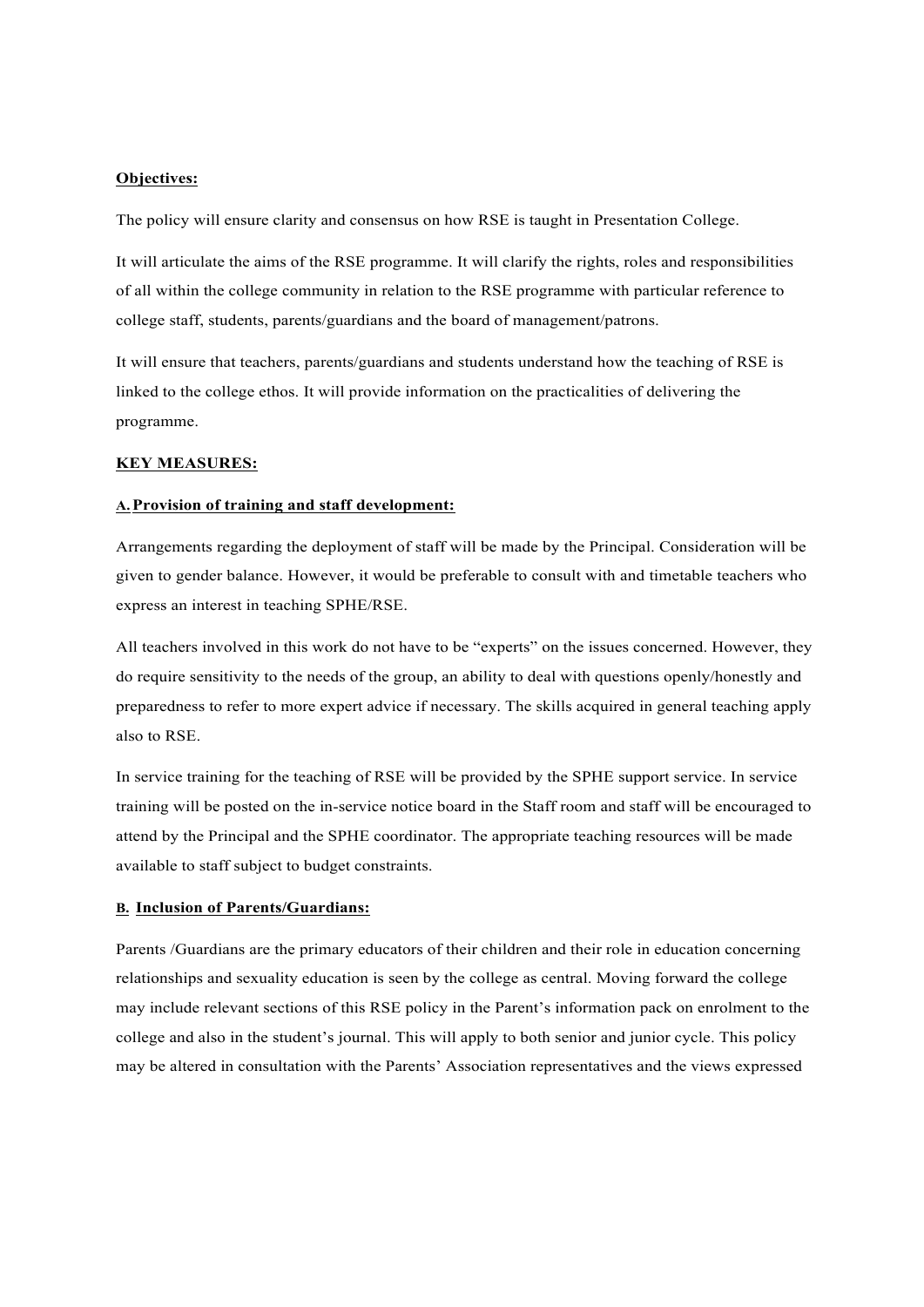## **Objectives:**

The policy will ensure clarity and consensus on how RSE is taught in Presentation College.

It will articulate the aims of the RSE programme. It will clarify the rights, roles and responsibilities of all within the college community in relation to the RSE programme with particular reference to college staff, students, parents/guardians and the board of management/patrons.

It will ensure that teachers, parents/guardians and students understand how the teaching of RSE is linked to the college ethos. It will provide information on the practicalities of delivering the programme.

#### **KEY MEASURES:**

#### **A.Provision of training and staff development:**

Arrangements regarding the deployment of staff will be made by the Principal. Consideration will be given to gender balance. However, it would be preferable to consult with and timetable teachers who express an interest in teaching SPHE/RSE.

All teachers involved in this work do not have to be "experts" on the issues concerned. However, they do require sensitivity to the needs of the group, an ability to deal with questions openly/honestly and preparedness to refer to more expert advice if necessary. The skills acquired in general teaching apply also to RSE.

In service training for the teaching of RSE will be provided by the SPHE support service. In service training will be posted on the in-service notice board in the Staff room and staff will be encouraged to attend by the Principal and the SPHE coordinator. The appropriate teaching resources will be made available to staff subject to budget constraints.

## **B. Inclusion of Parents/Guardians:**

Parents /Guardians are the primary educators of their children and their role in education concerning relationships and sexuality education is seen by the college as central. Moving forward the college may include relevant sections of this RSE policy in the Parent's information pack on enrolment to the college and also in the student's journal. This will apply to both senior and junior cycle. This policy may be altered in consultation with the Parents' Association representatives and the views expressed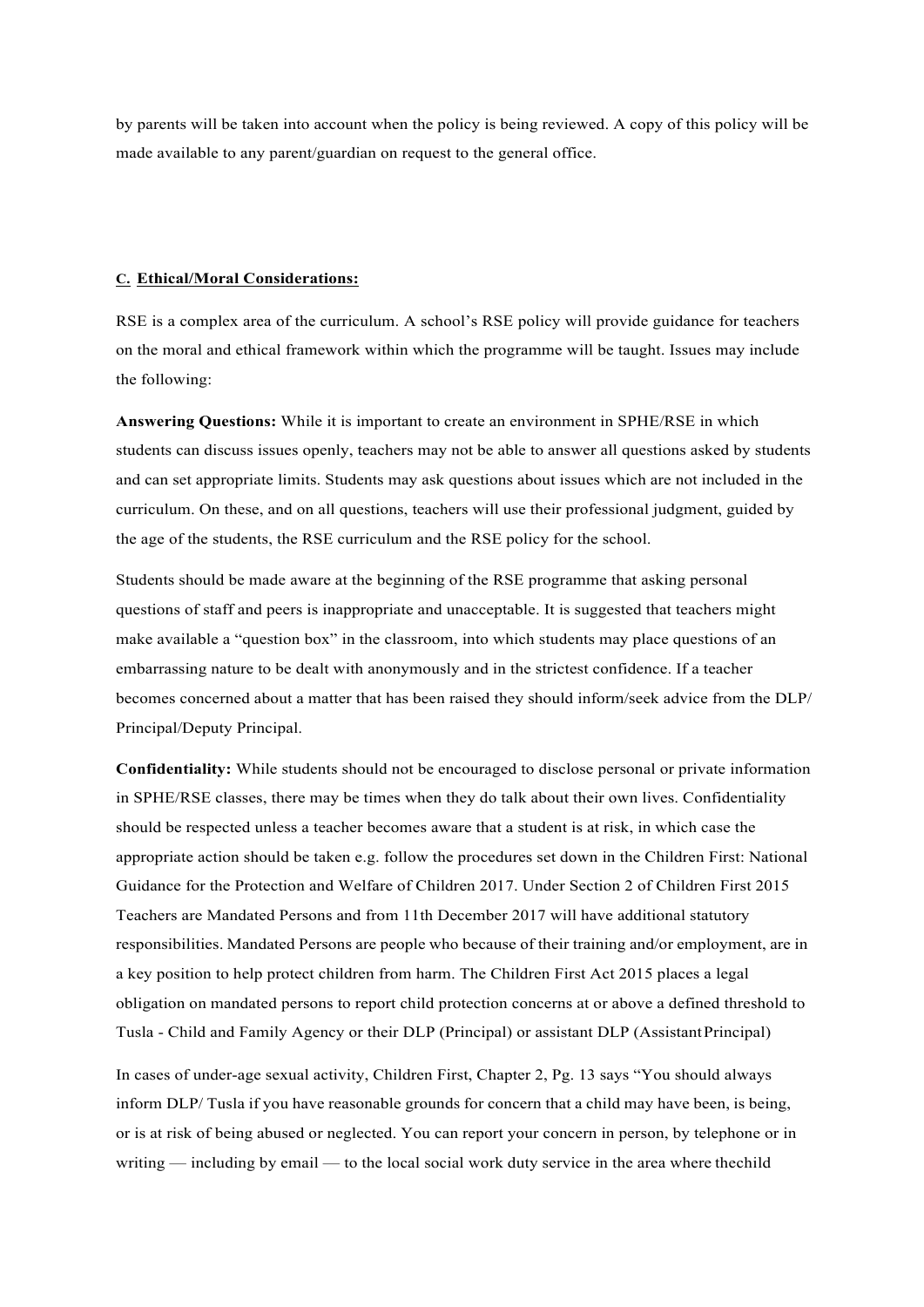by parents will be taken into account when the policy is being reviewed. A copy of this policy will be made available to any parent/guardian on request to the general office.

## **C. Ethical/Moral Considerations:**

RSE is a complex area of the curriculum. A school's RSE policy will provide guidance for teachers on the moral and ethical framework within which the programme will be taught. Issues may include the following:

**Answering Questions:** While it is important to create an environment in SPHE/RSE in which students can discuss issues openly, teachers may not be able to answer all questions asked by students and can set appropriate limits. Students may ask questions about issues which are not included in the curriculum. On these, and on all questions, teachers will use their professional judgment, guided by the age of the students, the RSE curriculum and the RSE policy for the school.

Students should be made aware at the beginning of the RSE programme that asking personal questions of staff and peers is inappropriate and unacceptable. It is suggested that teachers might make available a "question box" in the classroom, into which students may place questions of an embarrassing nature to be dealt with anonymously and in the strictest confidence. If a teacher becomes concerned about a matter that has been raised they should inform/seek advice from the DLP/ Principal/Deputy Principal.

**Confidentiality:** While students should not be encouraged to disclose personal or private information in SPHE/RSE classes, there may be times when they do talk about their own lives. Confidentiality should be respected unless a teacher becomes aware that a student is at risk, in which case the appropriate action should be taken e.g. follow the procedures set down in the Children First: National Guidance for the Protection and Welfare of Children 2017. Under Section 2 of Children First 2015 Teachers are Mandated Persons and from 11th December 2017 will have additional statutory responsibilities. Mandated Persons are people who because of their training and/or employment, are in a key position to help protect children from harm. The Children First Act 2015 places a legal obligation on mandated persons to report child protection concerns at or above a defined threshold to Tusla - Child and Family Agency or their DLP (Principal) or assistant DLP (AssistantPrincipal)

In cases of under-age sexual activity, Children First, Chapter 2, Pg. 13 says "You should always inform DLP/ Tusla if you have reasonable grounds for concern that a child may have been, is being, or is at risk of being abused or neglected. You can report your concern in person, by telephone or in writing — including by email — to the local social work duty service in the area where the child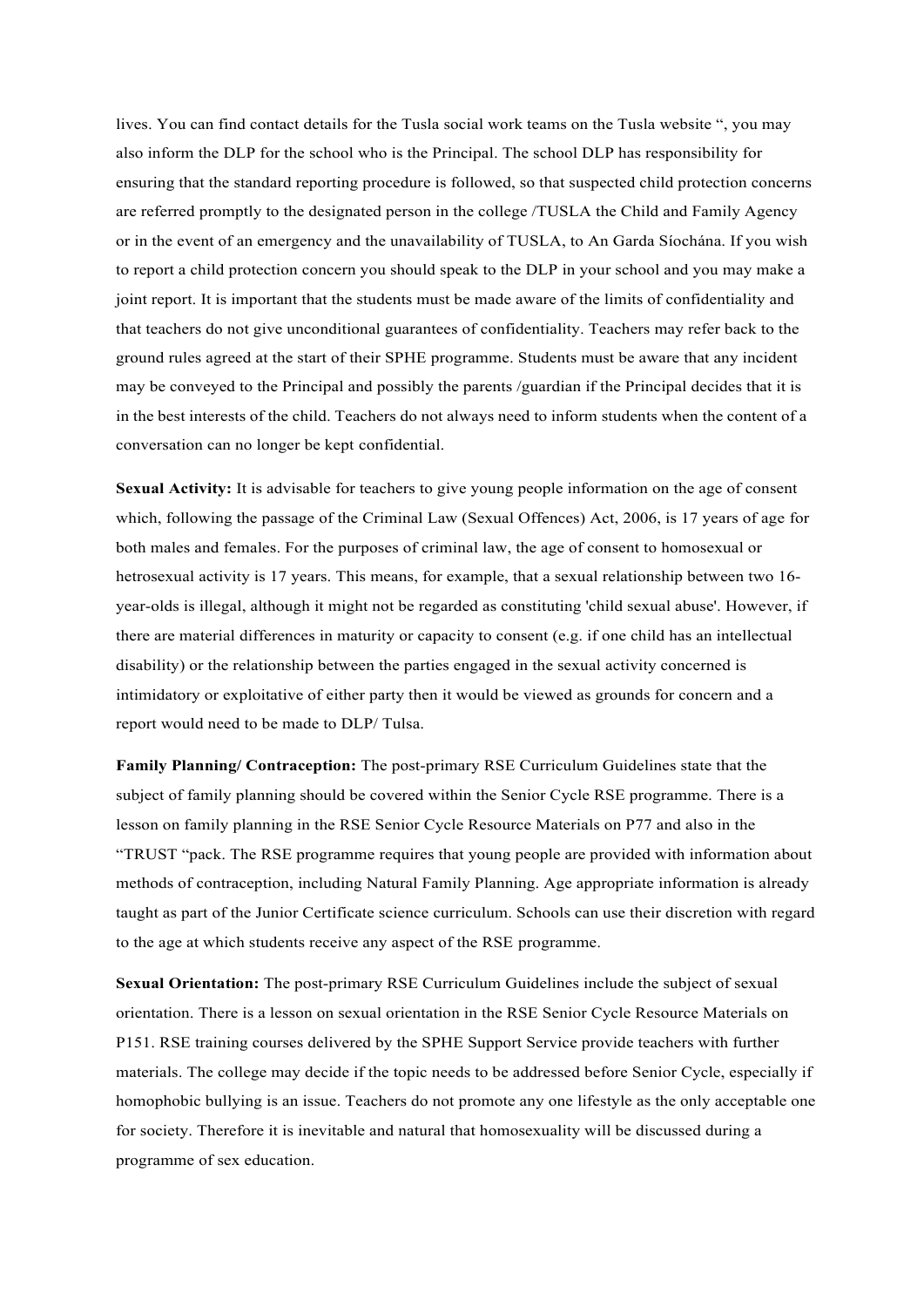lives. You can find contact details for the Tusla social work teams on the Tusla website ", you may also inform the DLP for the school who is the Principal. The school DLP has responsibility for ensuring that the standard reporting procedure is followed, so that suspected child protection concerns are referred promptly to the designated person in the college /TUSLA the Child and Family Agency or in the event of an emergency and the unavailability of TUSLA, to An Garda Síochána. If you wish to report a child protection concern you should speak to the DLP in your school and you may make a joint report. It is important that the students must be made aware of the limits of confidentiality and that teachers do not give unconditional guarantees of confidentiality. Teachers may refer back to the ground rules agreed at the start of their SPHE programme. Students must be aware that any incident may be conveyed to the Principal and possibly the parents /guardian if the Principal decides that it is in the best interests of the child. Teachers do not always need to inform students when the content of a conversation can no longer be kept confidential.

**Sexual Activity:** It is advisable for teachers to give young people information on the age of consent which, following the passage of the Criminal Law (Sexual Offences) Act, 2006, is 17 years of age for both males and females. For the purposes of criminal law, the age of consent to homosexual or hetrosexual activity is 17 years. This means, for example, that a sexual relationship between two 16 year-olds is illegal, although it might not be regarded as constituting 'child sexual abuse'. However, if there are material differences in maturity or capacity to consent (e.g. if one child has an intellectual disability) or the relationship between the parties engaged in the sexual activity concerned is intimidatory or exploitative of either party then it would be viewed as grounds for concern and a report would need to be made to DLP/ Tulsa.

**Family Planning/ Contraception:** The post-primary RSE Curriculum Guidelines state that the subject of family planning should be covered within the Senior Cycle RSE programme. There is a lesson on family planning in the RSE Senior Cycle Resource Materials on P77 and also in the "TRUST "pack. The RSE programme requires that young people are provided with information about methods of contraception, including Natural Family Planning. Age appropriate information is already taught as part of the Junior Certificate science curriculum. Schools can use their discretion with regard to the age at which students receive any aspect of the RSE programme.

**Sexual Orientation:** The post-primary RSE Curriculum Guidelines include the subject of sexual orientation. There is a lesson on sexual orientation in the RSE Senior Cycle Resource Materials on P151. RSE training courses delivered by the SPHE Support Service provide teachers with further materials. The college may decide if the topic needs to be addressed before Senior Cycle, especially if homophobic bullying is an issue. Teachers do not promote any one lifestyle as the only acceptable one for society. Therefore it is inevitable and natural that homosexuality will be discussed during a programme of sex education.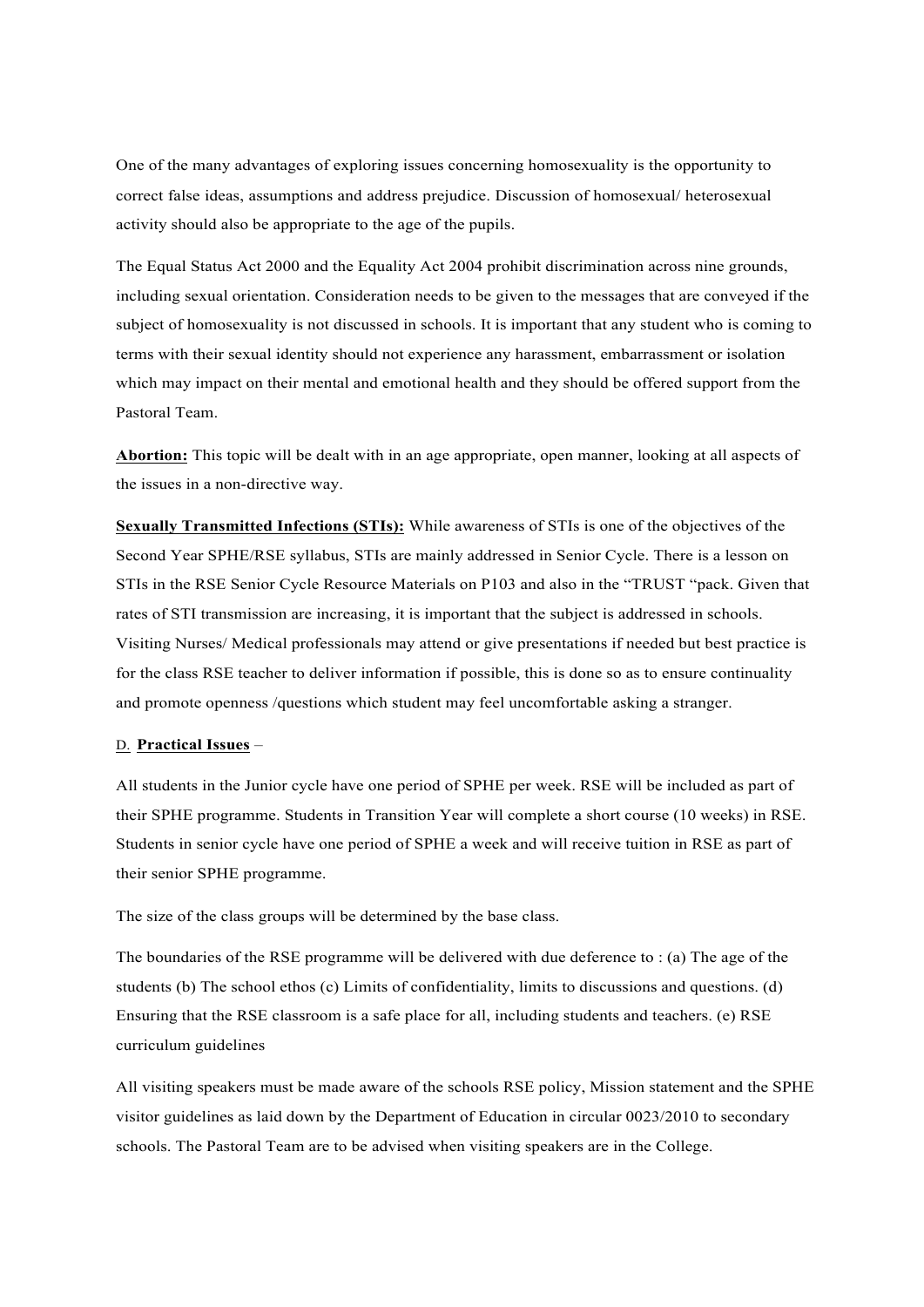One of the many advantages of exploring issues concerning homosexuality is the opportunity to correct false ideas, assumptions and address prejudice. Discussion of homosexual/ heterosexual activity should also be appropriate to the age of the pupils.

The Equal Status Act 2000 and the Equality Act 2004 prohibit discrimination across nine grounds, including sexual orientation. Consideration needs to be given to the messages that are conveyed if the subject of homosexuality is not discussed in schools. It is important that any student who is coming to terms with their sexual identity should not experience any harassment, embarrassment or isolation which may impact on their mental and emotional health and they should be offered support from the Pastoral Team.

**Abortion:** This topic will be dealt with in an age appropriate, open manner, looking at all aspects of the issues in a non-directive way.

**Sexually Transmitted Infections (STIs):** While awareness of STIs is one of the objectives of the Second Year SPHE/RSE syllabus, STIs are mainly addressed in Senior Cycle. There is a lesson on STIs in the RSE Senior Cycle Resource Materials on P103 and also in the "TRUST "pack. Given that rates of STI transmission are increasing, it is important that the subject is addressed in schools. Visiting Nurses/ Medical professionals may attend or give presentations if needed but best practice is for the class RSE teacher to deliver information if possible, this is done so as to ensure continuality and promote openness /questions which student may feel uncomfortable asking a stranger.

#### D. **Practical Issues** –

All students in the Junior cycle have one period of SPHE per week. RSE will be included as part of their SPHE programme. Students in Transition Year will complete a short course (10 weeks) in RSE. Students in senior cycle have one period of SPHE a week and will receive tuition in RSE as part of their senior SPHE programme.

The size of the class groups will be determined by the base class.

The boundaries of the RSE programme will be delivered with due deference to : (a) The age of the students (b) The school ethos (c) Limits of confidentiality, limits to discussions and questions. (d) Ensuring that the RSE classroom is a safe place for all, including students and teachers. (e) RSE curriculum guidelines

All visiting speakers must be made aware of the schools RSE policy, Mission statement and the SPHE visitor guidelines as laid down by the Department of Education in circular 0023/2010 to secondary schools. The Pastoral Team are to be advised when visiting speakers are in the College.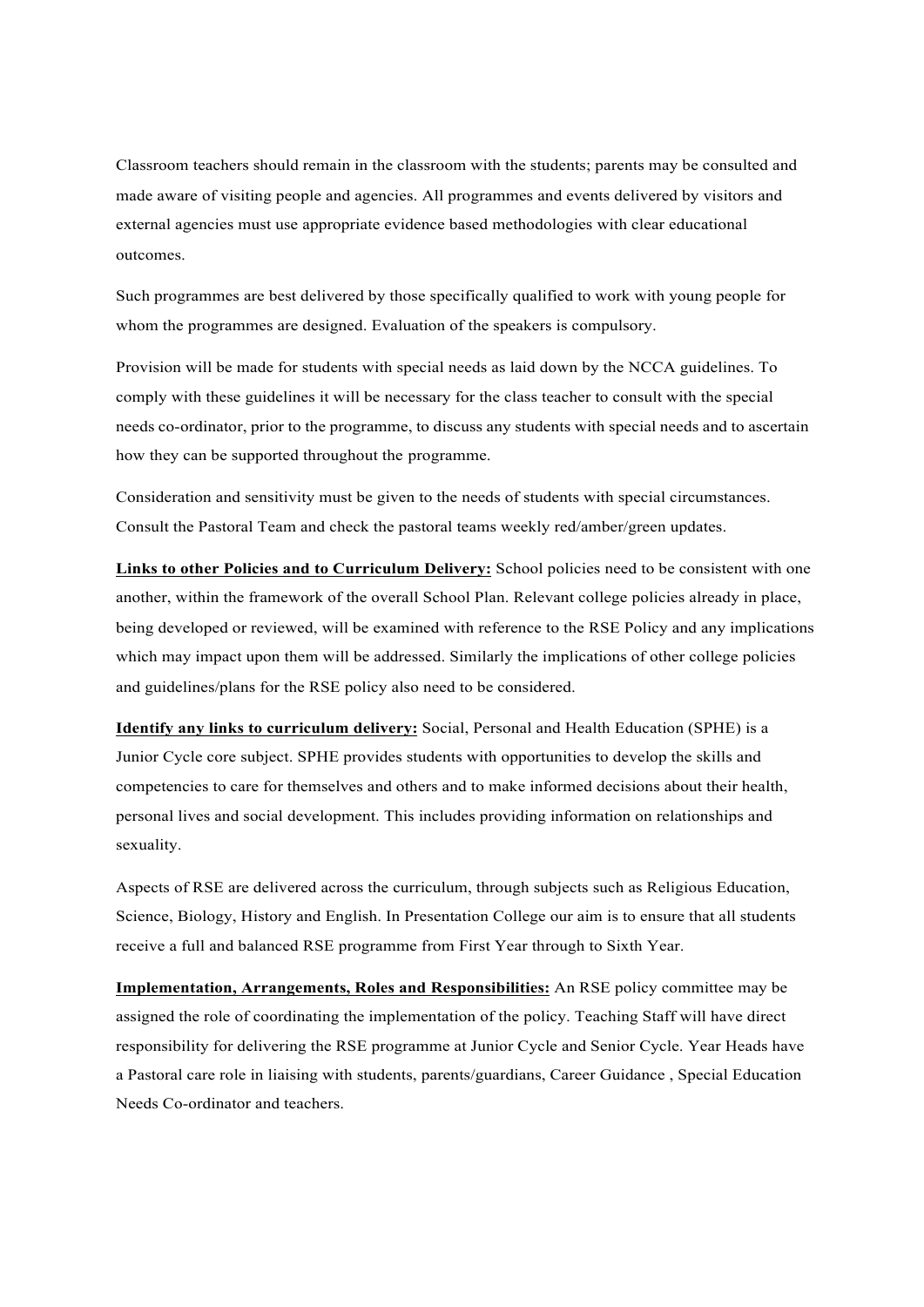Classroom teachers should remain in the classroom with the students; parents may be consulted and made aware of visiting people and agencies. All programmes and events delivered by visitors and external agencies must use appropriate evidence based methodologies with clear educational outcomes.

Such programmes are best delivered by those specifically qualified to work with young people for whom the programmes are designed. Evaluation of the speakers is compulsory.

Provision will be made for students with special needs as laid down by the NCCA guidelines. To comply with these guidelines it will be necessary for the class teacher to consult with the special needs co-ordinator, prior to the programme, to discuss any students with special needs and to ascertain how they can be supported throughout the programme.

Consideration and sensitivity must be given to the needs of students with special circumstances. Consult the Pastoral Team and check the pastoral teams weekly red/amber/green updates.

**Links to other Policies and to Curriculum Delivery:** School policies need to be consistent with one another, within the framework of the overall School Plan. Relevant college policies already in place, being developed or reviewed, will be examined with reference to the RSE Policy and any implications which may impact upon them will be addressed. Similarly the implications of other college policies and guidelines/plans for the RSE policy also need to be considered.

**Identify any links to curriculum delivery:** Social, Personal and Health Education (SPHE) is a Junior Cycle core subject. SPHE provides students with opportunities to develop the skills and competencies to care for themselves and others and to make informed decisions about their health, personal lives and social development. This includes providing information on relationships and sexuality.

Aspects of RSE are delivered across the curriculum, through subjects such as Religious Education, Science, Biology, History and English. In Presentation College our aim is to ensure that all students receive a full and balanced RSE programme from First Year through to Sixth Year.

**Implementation, Arrangements, Roles and Responsibilities:** An RSE policy committee may be assigned the role of coordinating the implementation of the policy. Teaching Staff will have direct responsibility for delivering the RSE programme at Junior Cycle and Senior Cycle. Year Heads have a Pastoral care role in liaising with students, parents/guardians, Career Guidance , Special Education Needs Co-ordinator and teachers.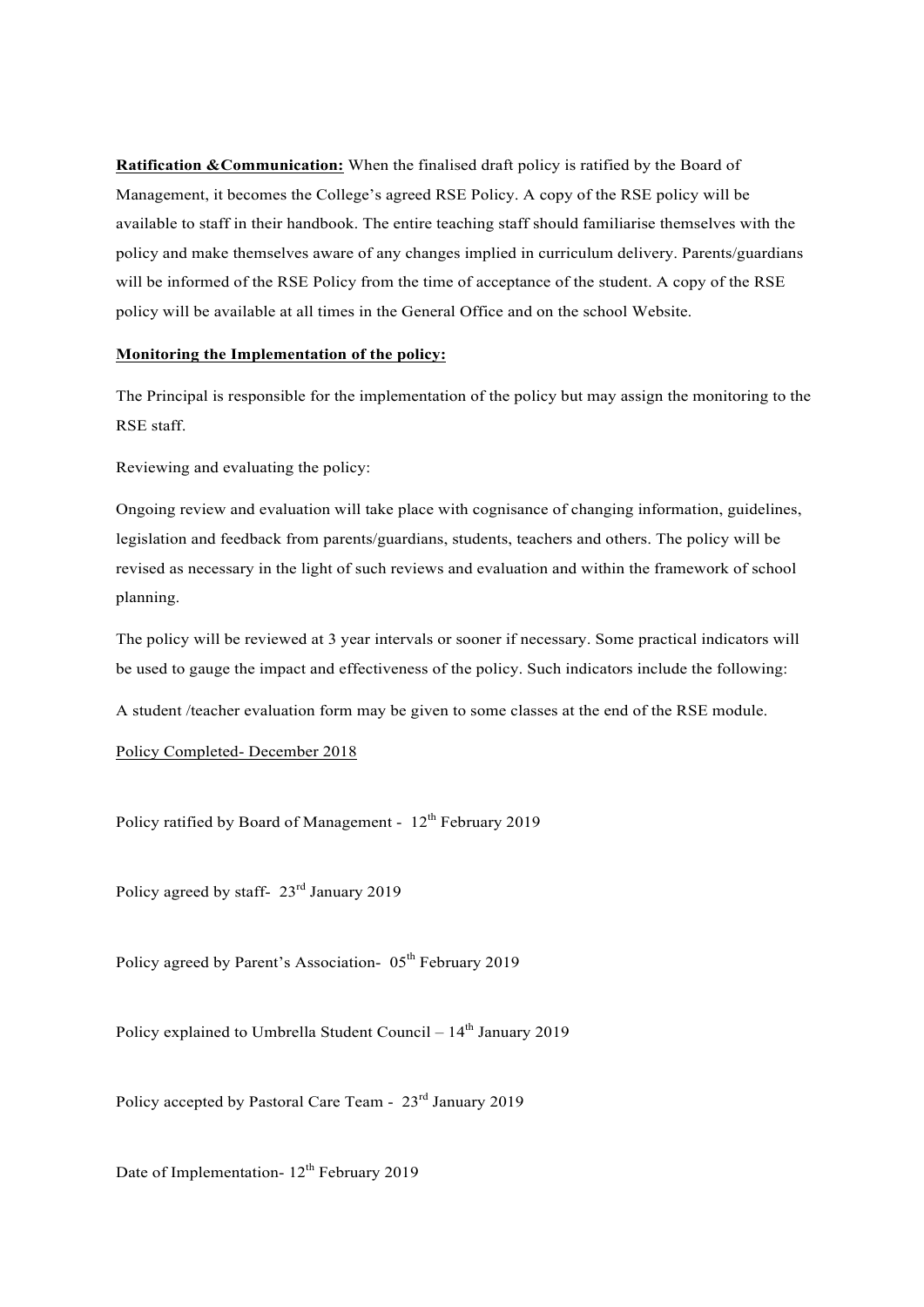**Ratification &Communication:** When the finalised draft policy is ratified by the Board of Management, it becomes the College's agreed RSE Policy. A copy of the RSE policy will be available to staff in their handbook. The entire teaching staff should familiarise themselves with the policy and make themselves aware of any changes implied in curriculum delivery. Parents/guardians will be informed of the RSE Policy from the time of acceptance of the student. A copy of the RSE policy will be available at all times in the General Office and on the school Website.

## **Monitoring the Implementation of the policy:**

The Principal is responsible for the implementation of the policy but may assign the monitoring to the RSE staff.

Reviewing and evaluating the policy:

Ongoing review and evaluation will take place with cognisance of changing information, guidelines, legislation and feedback from parents/guardians, students, teachers and others. The policy will be revised as necessary in the light of such reviews and evaluation and within the framework of school planning.

The policy will be reviewed at 3 year intervals or sooner if necessary. Some practical indicators will be used to gauge the impact and effectiveness of the policy. Such indicators include the following:

A student /teacher evaluation form may be given to some classes at the end of the RSE module.

Policy Completed- December 2018

Policy ratified by Board of Management - 12<sup>th</sup> February 2019

Policy agreed by staff-  $23<sup>rd</sup>$  January 2019

Policy agreed by Parent's Association- 05<sup>th</sup> February 2019

Policy explained to Umbrella Student Council –  $14<sup>th</sup>$  January 2019

Policy accepted by Pastoral Care Team - 23rd January 2019

Date of Implementation-  $12<sup>th</sup>$  February 2019